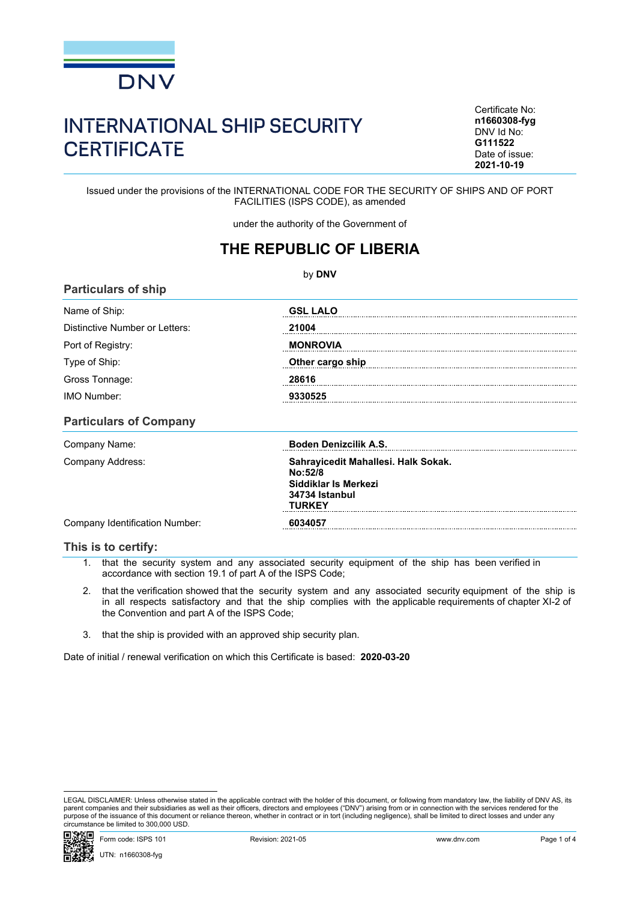

## INTERNATIONAL SHIP SECURITY **CERTIFICATE**

Certificate No: **n1660308-fyg** DNV Id No: **G111522** Date of issue: **2021-10-19**

Issued under the provisions of the INTERNATIONAL CODE FOR THE SECURITY OF SHIPS AND OF PORT FACILITIES (ISPS CODE), as amended

under the authority of the Government of

## **THE REPUBLIC OF LIBERIA**

| by DNV                         |                  |  |  |  |
|--------------------------------|------------------|--|--|--|
| <b>Particulars of ship</b>     |                  |  |  |  |
| Name of Ship:                  | <b>GSL LALO</b>  |  |  |  |
| Distinctive Number or Letters: | 21004            |  |  |  |
| Port of Registry:              | <b>MONROVIA</b>  |  |  |  |
| Type of Ship:                  | Other cargo ship |  |  |  |
| Gross Tonnage:                 | 28616            |  |  |  |
| <b>IMO Number:</b>             | 9330525          |  |  |  |
| <b>Particulars of Company</b>  |                  |  |  |  |

| Company Name:                  | <b>Boden Denizcilik A.S.</b>                                                                       |
|--------------------------------|----------------------------------------------------------------------------------------------------|
| Company Address:               | Sahrayicedit Mahallesi. Halk Sokak.<br>No:52/8<br>Siddiklar Is Merkezi<br>34734 Istanbul<br>TURKFY |
| Company Identification Number: | 6034057                                                                                            |

## **This is to certify:**

- 1. that the security system and any associated security equipment of the ship has been verified in accordance with section 19.1 of part A of the ISPS Code;
- 2. that the verification showed that the security system and any associated security equipment of the ship is in all respects satisfactory and that the ship complies with the applicable requirements of chapter XI-2 of the Convention and part A of the ISPS Code;
- 3. that the ship is provided with an approved ship security plan.

Date of initial / renewal verification on which this Certificate is based: **2020-03-20**

LEGAL DISCLAIMER: Unless otherwise stated in the applicable contract with the holder of this document, or following from mandatory law, the liability of DNV AS, its parent companies and their subsidiaries as well as their officers, directors and employees ("DNV") arising from or in connection with the services rendered for the purpose of the issuance of this document or reliance thereon, whether in contract or in tort (including negligence), shall be limited to direct losses and under any circumstance be limited to 300,000 USD.

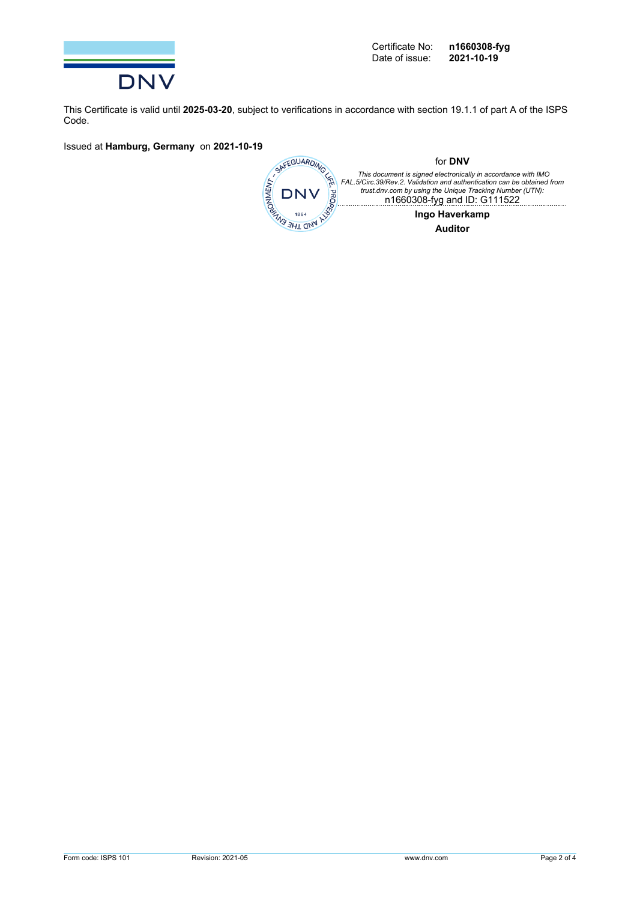

This Certificate is valid until **2025-03-20**, subject to verifications in accordance with section 19.1.1 of part A of the ISPS Code.

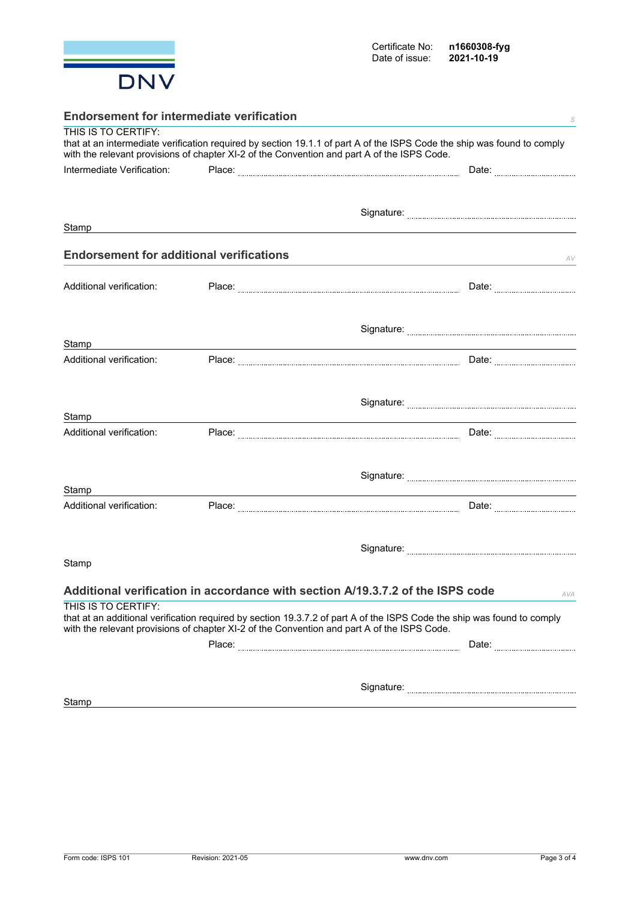

| <b>Endorsement for intermediate verification</b> |  |                                                                                                                                                                                                                        |  |  |
|--------------------------------------------------|--|------------------------------------------------------------------------------------------------------------------------------------------------------------------------------------------------------------------------|--|--|
| THIS IS TO CERTIFY:                              |  | that at an intermediate verification required by section 19.1.1 of part A of the ISPS Code the ship was found to comply<br>with the relevant provisions of chapter XI-2 of the Convention and part A of the ISPS Code. |  |  |
| Intermediate Verification:                       |  |                                                                                                                                                                                                                        |  |  |
|                                                  |  |                                                                                                                                                                                                                        |  |  |
|                                                  |  |                                                                                                                                                                                                                        |  |  |
| Stamp                                            |  |                                                                                                                                                                                                                        |  |  |
|                                                  |  |                                                                                                                                                                                                                        |  |  |
| <b>Endorsement for additional verifications</b>  |  | AV                                                                                                                                                                                                                     |  |  |
| Additional verification:                         |  |                                                                                                                                                                                                                        |  |  |
|                                                  |  | Date:                                                                                                                                                                                                                  |  |  |
|                                                  |  |                                                                                                                                                                                                                        |  |  |
| Stamp                                            |  |                                                                                                                                                                                                                        |  |  |
| Additional verification:                         |  |                                                                                                                                                                                                                        |  |  |
|                                                  |  |                                                                                                                                                                                                                        |  |  |
|                                                  |  |                                                                                                                                                                                                                        |  |  |
|                                                  |  |                                                                                                                                                                                                                        |  |  |
| Stamp<br>Additional verification:                |  |                                                                                                                                                                                                                        |  |  |
|                                                  |  |                                                                                                                                                                                                                        |  |  |
|                                                  |  |                                                                                                                                                                                                                        |  |  |
|                                                  |  |                                                                                                                                                                                                                        |  |  |
| Stamp<br>Additional verification:                |  |                                                                                                                                                                                                                        |  |  |
|                                                  |  |                                                                                                                                                                                                                        |  |  |
|                                                  |  |                                                                                                                                                                                                                        |  |  |
|                                                  |  |                                                                                                                                                                                                                        |  |  |
| Stamp                                            |  |                                                                                                                                                                                                                        |  |  |
|                                                  |  | Additional verification in accordance with section A/19.3.7.2 of the ISPS code<br>AVA                                                                                                                                  |  |  |
| THIS IS TO CERTIFY:                              |  |                                                                                                                                                                                                                        |  |  |
|                                                  |  | that at an additional verification required by section 19.3.7.2 of part A of the ISPS Code the ship was found to comply<br>with the relevant provisions of chapter XI-2 of the Convention and part A of the ISPS Code. |  |  |
|                                                  |  |                                                                                                                                                                                                                        |  |  |
|                                                  |  |                                                                                                                                                                                                                        |  |  |
|                                                  |  |                                                                                                                                                                                                                        |  |  |
| Stamp                                            |  |                                                                                                                                                                                                                        |  |  |
|                                                  |  |                                                                                                                                                                                                                        |  |  |